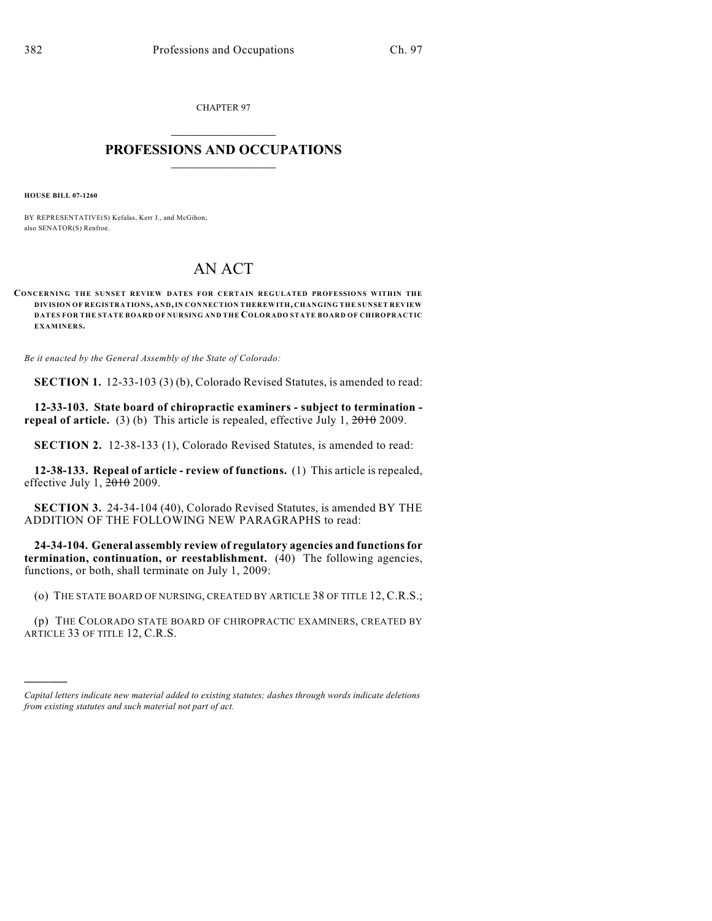CHAPTER 97

## $\mathcal{L}_\text{max}$  . The set of the set of the set of the set of the set of the set of the set of the set of the set of the set of the set of the set of the set of the set of the set of the set of the set of the set of the set **PROFESSIONS AND OCCUPATIONS**  $\frac{1}{2}$  ,  $\frac{1}{2}$  ,  $\frac{1}{2}$  ,  $\frac{1}{2}$  ,  $\frac{1}{2}$  ,  $\frac{1}{2}$

**HOUSE BILL 07-1260**

)))))

BY REPRESENTATIVE(S) Kefalas, Kerr J., and McGihon; also SENATOR(S) Renfroe.

## AN ACT

**CONCERNING THE SUNSET REVIEW DATES FOR CERTAIN REGULATED PROFESSIONS WITHIN THE DIVISION OF REGISTRATIONS, AND, IN CONNECTION THEREWITH, CHANGING THE SUNSET REVIEW DATES FOR THE STATE BOARD OF NURSING AND THE COLORADO STATE BOARD OF CHIROPRACTIC EXAMINERS.**

*Be it enacted by the General Assembly of the State of Colorado:*

**SECTION 1.** 12-33-103 (3) (b), Colorado Revised Statutes, is amended to read:

**12-33-103. State board of chiropractic examiners - subject to termination repeal of article.** (3) (b) This article is repealed, effective July 1,  $\frac{2010}{2009}$ .

**SECTION 2.** 12-38-133 (1), Colorado Revised Statutes, is amended to read:

**12-38-133. Repeal of article - review of functions.** (1) This article is repealed, effective July 1, 2010 2009.

**SECTION 3.** 24-34-104 (40), Colorado Revised Statutes, is amended BY THE ADDITION OF THE FOLLOWING NEW PARAGRAPHS to read:

**24-34-104. General assembly review of regulatory agencies and functions for termination, continuation, or reestablishment.** (40) The following agencies, functions, or both, shall terminate on July 1, 2009:

(o) THE STATE BOARD OF NURSING, CREATED BY ARTICLE 38 OF TITLE 12, C.R.S.;

(p) THE COLORADO STATE BOARD OF CHIROPRACTIC EXAMINERS, CREATED BY ARTICLE 33 OF TITLE 12, C.R.S.

*Capital letters indicate new material added to existing statutes; dashes through words indicate deletions from existing statutes and such material not part of act.*